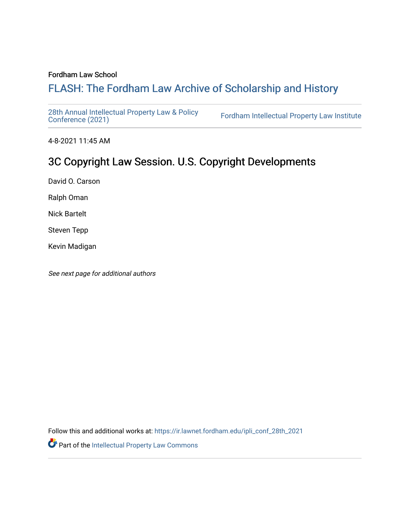### Fordham Law School

# FLASH: The For[dham Law Archive of Scholarship and Hist](https://ir.lawnet.fordham.edu/)ory

[28th Annual Intellectual Property Law & Policy](https://ir.lawnet.fordham.edu/ipli_conf_28th_2021)<br>Conference (2021)

Fordham Intellectual Property Law Institute

4-8-2021 11:45 AM

# 3C Copyright Law Session. U.S. Copyright Developments

David O. Carson

Ralph Oman

Nick Bartelt

Steven Tepp

Kevin Madigan

See next page for additional authors

Follow this and additional works at: [https://ir.lawnet.fordham.edu/ipli\\_conf\\_28th\\_2021](https://ir.lawnet.fordham.edu/ipli_conf_28th_2021?utm_source=ir.lawnet.fordham.edu%2Fipli_conf_28th_2021%2F9&utm_medium=PDF&utm_campaign=PDFCoverPages) 

Part of the [Intellectual Property Law Commons](http://network.bepress.com/hgg/discipline/896?utm_source=ir.lawnet.fordham.edu%2Fipli_conf_28th_2021%2F9&utm_medium=PDF&utm_campaign=PDFCoverPages)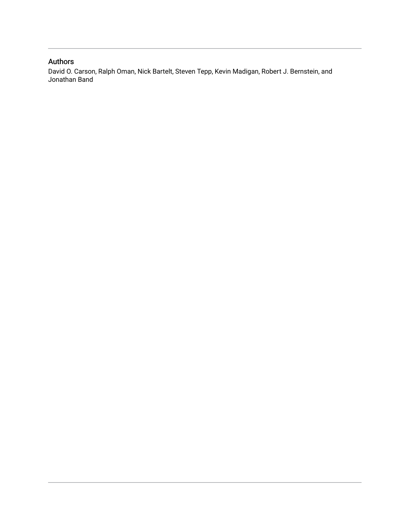## Authors

David O. Carson, Ralph Oman, Nick Bartelt, Steven Tepp, Kevin Madigan, Robert J. Bernstein, and Jonathan Band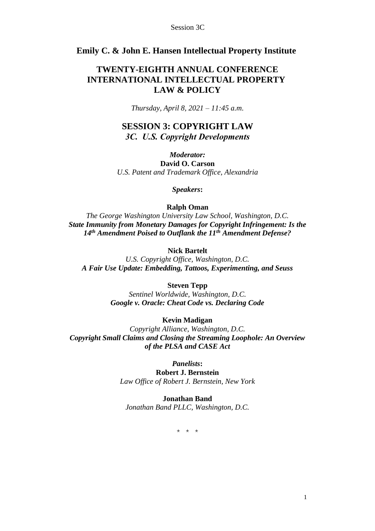## **Emily C. & John E. Hansen Intellectual Property Institute**

## **TWENTY-EIGHTH ANNUAL CONFERENCE INTERNATIONAL INTELLECTUAL PROPERTY LAW & POLICY**

*Thursday, April 8, 2021 – 11:45 a.m.*

## **SESSION 3: COPYRIGHT LAW** *3C. U.S. Copyright Developments*

*Moderator:* **David O. Carson** *U.S. Patent and Trademark Office, Alexandria*

*Speakers***:**

### **Ralph Oman**

*The George Washington University Law School, Washington, D.C. State Immunity from Monetary Damages for Copyright Infringement: Is the 14th Amendment Poised to Outflank the 11th Amendment Defense?*

## **Nick Bartelt**

*U.S. Copyright Office, Washington, D.C. A Fair Use Update: Embedding, Tattoos, Experimenting, and Seuss*

### **Steven Tepp**

*Sentinel Worldwide, Washington, D.C. Google v. Oracle: Cheat Code vs. Declaring Code*

## **Kevin Madigan**

*Copyright Alliance, Washington, D.C. Copyright Small Claims and Closing the Streaming Loophole: An Overview of the PLSA and CASE Act*

*Panelists***:**

**Robert J. Bernstein** *Law Office of Robert J. Bernstein, New York*

## **Jonathan Band**

*Jonathan Band PLLC, Washington, D.C.* 

\* \* \*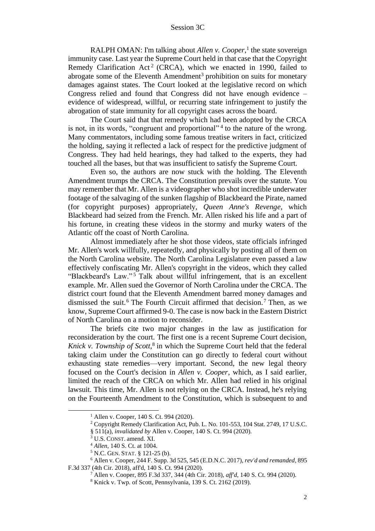RALPH OMAN: I'm talking about *Allen v. Cooper*,<sup>1</sup> the state sovereign immunity case. Last year the Supreme Court held in that case that the Copyright Remedy Clarification Act<sup>2</sup> (CRCA), which we enacted in 1990, failed to abrogate some of the Eleventh Amendment<sup>3</sup> prohibition on suits for monetary damages against states. The Court looked at the legislative record on which Congress relied and found that Congress did not have enough evidence – evidence of widespread, willful, or recurring state infringement to justify the abrogation of state immunity for all copyright cases across the board.

The Court said that that remedy which had been adopted by the CRCA is not, in its words, "congruent and proportional"<sup>4</sup> to the nature of the wrong. Many commentators, including some famous treatise writers in fact, criticized the holding, saying it reflected a lack of respect for the predictive judgment of Congress. They had held hearings, they had talked to the experts, they had touched all the bases, but that was insufficient to satisfy the Supreme Court.

Even so, the authors are now stuck with the holding. The Eleventh Amendment trumps the CRCA. The Constitution prevails over the statute. You may remember that Mr. Allen is a videographer who shot incredible underwater footage of the salvaging of the sunken flagship of Blackbeard the Pirate, named (for copyright purposes) appropriately, *Queen Anne's Revenge*, which Blackbeard had seized from the French. Mr. Allen risked his life and a part of his fortune, in creating these videos in the stormy and murky waters of the Atlantic off the coast of North Carolina.

Almost immediately after he shot those videos, state officials infringed Mr. Allen's work willfully, repeatedly, and physically by posting all of them on the North Carolina website. The North Carolina Legislature even passed a law effectively confiscating Mr. Allen's copyright in the videos, which they called "Blackbeard's Law."<sup>5</sup> Talk about willful infringement, that is an excellent example. Mr. Allen sued the Governor of North Carolina under the CRCA. The district court found that the Eleventh Amendment barred money damages and dismissed the suit.<sup>6</sup> The Fourth Circuit affirmed that decision.<sup>7</sup> Then, as we know, Supreme Court affirmed 9-0. The case is now back in the Eastern District of North Carolina on a motion to reconsider.

The briefs cite two major changes in the law as justification for reconsideration by the court. The first one is a recent Supreme Court decision, Knick v. Township of Scott,<sup>8</sup> in which the Supreme Court held that the federal taking claim under the Constitution can go directly to federal court without exhausting state remedies—very important. Second, the new legal theory focused on the Court's decision in *Allen v. Cooper*, which, as I said earlier, limited the reach of the CRCA on which Mr. Allen had relied in his original lawsuit. This time, Mr. Allen is not relying on the CRCA. Instead, he's relying on the Fourteenth Amendment to the Constitution, which is subsequent to and

<sup>1</sup> Allen v. Cooper, 140 S. Ct. 994 (2020).

<sup>&</sup>lt;sup>2</sup> Copyright Remedy Clarification Act, Pub. L. No. 101-553, 104 Stat. 2749, 17 U.S.C.

<sup>§ 511(</sup>a), *invalidated by* Allen v. Cooper, 140 S. Ct. 994 (2020).

<sup>3</sup> U.S. CONST. amend. XI.

<sup>4</sup> *Allen*, 140 S. Ct. at 1004.

<sup>5</sup> N.C. GEN.STAT. § 121-25 (b).

<sup>6</sup> Allen v. Cooper, 244 F. Supp. 3d 525, 545 (E.D.N.C. 2017), *rev'd and remanded*, 895 F.3d 337 (4th Cir. 2018), aff'd, 140 S. Ct. 994 (2020).

<sup>7</sup> Allen v. Cooper, 895 F.3d 337, 344 (4th Cir. 2018), *aff'd*, 140 S. Ct. 994 (2020).

<sup>8</sup> Knick v. Twp. of Scott, Pennsylvania, 139 S. Ct. 2162 (2019).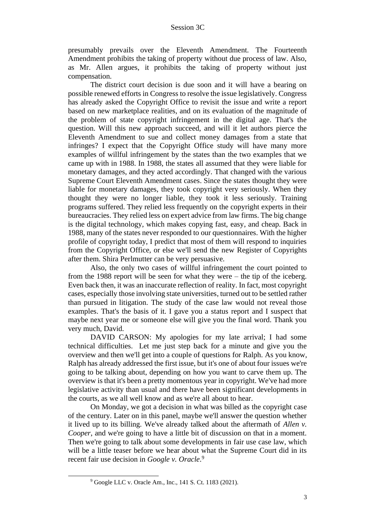presumably prevails over the Eleventh Amendment. The Fourteenth Amendment prohibits the taking of property without due process of law. Also, as Mr. Allen argues, it prohibits the taking of property without just compensation.

The district court decision is due soon and it will have a bearing on possible renewed efforts in Congress to resolve the issue legislatively. Congress has already asked the Copyright Office to revisit the issue and write a report based on new marketplace realities, and on its evaluation of the magnitude of the problem of state copyright infringement in the digital age. That's the question. Will this new approach succeed, and will it let authors pierce the Eleventh Amendment to sue and collect money damages from a state that infringes? I expect that the Copyright Office study will have many more examples of willful infringement by the states than the two examples that we came up with in 1988. In 1988, the states all assumed that they were liable for monetary damages, and they acted accordingly. That changed with the various Supreme Court Eleventh Amendment cases. Since the states thought they were liable for monetary damages, they took copyright very seriously. When they thought they were no longer liable, they took it less seriously. Training programs suffered. They relied less frequently on the copyright experts in their bureaucracies. They relied less on expert advice from law firms. The big change is the digital technology, which makes copying fast, easy, and cheap. Back in 1988, many of the states never responded to our questionnaires. With the higher profile of copyright today, I predict that most of them will respond to inquiries from the Copyright Office, or else we'll send the new Register of Copyrights after them. Shira Perlmutter can be very persuasive.

Also, the only two cases of willful infringement the court pointed to from the 1988 report will be seen for what they were – the tip of the iceberg. Even back then, it was an inaccurate reflection of reality. In fact, most copyright cases, especially those involving state universities, turned out to be settled rather than pursued in litigation. The study of the case law would not reveal those examples. That's the basis of it. I gave you a status report and I suspect that maybe next year me or someone else will give you the final word. Thank you very much, David.

DAVID CARSON: My apologies for my late arrival; I had some technical difficulties. Let me just step back for a minute and give you the overview and then we'll get into a couple of questions for Ralph. As you know, Ralph has already addressed the first issue, but it's one of about four issues we're going to be talking about, depending on how you want to carve them up. The overview is that it's been a pretty momentous year in copyright. We've had more legislative activity than usual and there have been significant developments in the courts, as we all well know and as we're all about to hear.

On Monday, we got a decision in what was billed as the copyright case of the century. Later on in this panel, maybe we'll answer the question whether it lived up to its billing. We've already talked about the aftermath of *Allen v. Cooper*, and we're going to have a little bit of discussion on that in a moment. Then we're going to talk about some developments in fair use case law, which will be a little teaser before we hear about what the Supreme Court did in its recent fair use decision in *Google v. Oracle*. 9

<sup>9</sup> Google LLC v. Oracle Am., Inc., 141 S. Ct. 1183 (2021).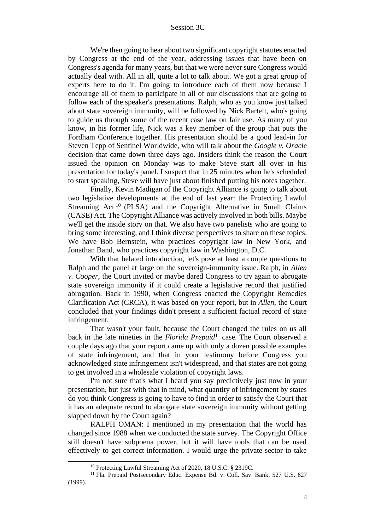We're then going to hear about two significant copyright statutes enacted by Congress at the end of the year, addressing issues that have been on Congress's agenda for many years, but that we were never sure Congress would actually deal with. All in all, quite a lot to talk about. We got a great group of experts here to do it. I'm going to introduce each of them now because I encourage all of them to participate in all of our discussions that are going to follow each of the speaker's presentations. Ralph, who as you know just talked about state sovereign immunity, will be followed by Nick Bartelt, who's going to guide us through some of the recent case law on fair use. As many of you know, in his former life, Nick was a key member of the group that puts the Fordham Conference together. His presentation should be a good lead-in for Steven Tepp of Sentinel Worldwide, who will talk about the *Google v. Oracle* decision that came down three days ago. Insiders think the reason the Court issued the opinion on Monday was to make Steve start all over in his presentation for today's panel. I suspect that in 25 minutes when he's scheduled to start speaking, Steve will have just about finished putting his notes together.

Finally, Kevin Madigan of the Copyright Alliance is going to talk about two legislative developments at the end of last year: the Protecting Lawful Streaming Act<sup>10</sup> (PLSA) and the Copyright Alternative in Small Claims (CASE) Act. The Copyright Alliance was actively involved in both bills. Maybe we'll get the inside story on that. We also have two panelists who are going to bring some interesting, and I think diverse perspectives to share on these topics. We have Bob Bernstein, who practices copyright law in New York, and Jonathan Band, who practices copyright law in Washington, D.C.

With that belated introduction, let's pose at least a couple questions to Ralph and the panel at large on the sovereign-immunity issue. Ralph, in *Allen v. Cooper*, the Court invited or maybe dared Congress to try again to abrogate state sovereign immunity if it could create a legislative record that justified abrogation. Back in 1990, when Congress enacted the Copyright Remedies Clarification Act (CRCA), it was based on your report, but in *Allen,* the Court concluded that your findings didn't present a sufficient factual record of state infringement.

That wasn't your fault, because the Court changed the rules on us all back in the late nineties in the *Florida Prepaid*<sup>11</sup> case. The Court observed a couple days ago that your report came up with only a dozen possible examples of state infringement, and that in your testimony before Congress you acknowledged state infringement isn't widespread, and that states are not going to get involved in a wholesale violation of copyright laws.

I'm not sure that's what I heard you say predictively just now in your presentation, but just with that in mind, what quantity of infringement by states do you think Congress is going to have to find in order to satisfy the Court that it has an adequate record to abrogate state sovereign immunity without getting slapped down by the Court again?

RALPH OMAN: I mentioned in my presentation that the world has changed since 1988 when we conducted the state survey. The Copyright Office still doesn't have subpoena power, but it will have tools that can be used effectively to get correct information. I would urge the private sector to take

<sup>10</sup> Protecting Lawful Streaming Act of 2020, 18 U.S.C. § 2319C.

<sup>&</sup>lt;sup>11</sup> Fla. Prepaid Postsecondary Educ. Expense Bd. v. Coll. Sav. Bank, 527 U.S. 627 (1999).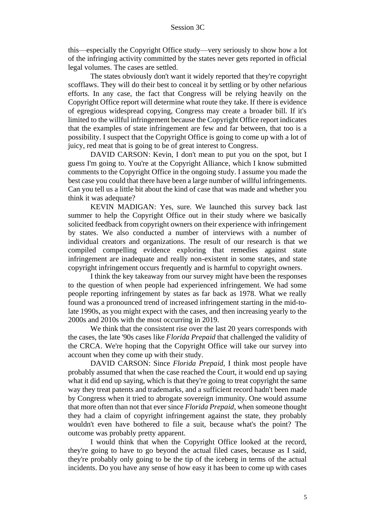this—especially the Copyright Office study—very seriously to show how a lot of the infringing activity committed by the states never gets reported in official legal volumes. The cases are settled.

The states obviously don't want it widely reported that they're copyright scofflaws. They will do their best to conceal it by settling or by other nefarious efforts. In any case, the fact that Congress will be relying heavily on the Copyright Office report will determine what route they take. If there is evidence of egregious widespread copying, Congress may create a broader bill. If it's limited to the willful infringement because the Copyright Office report indicates that the examples of state infringement are few and far between, that too is a possibility. I suspect that the Copyright Office is going to come up with a lot of juicy, red meat that is going to be of great interest to Congress.

DAVID CARSON: Kevin, I don't mean to put you on the spot, but I guess I'm going to. You're at the Copyright Alliance, which I know submitted comments to the Copyright Office in the ongoing study. I assume you made the best case you could that there have been a large number of willful infringements. Can you tell us a little bit about the kind of case that was made and whether you think it was adequate?

KEVIN MADIGAN: Yes, sure. We launched this survey back last summer to help the Copyright Office out in their study where we basically solicited feedback from copyright owners on their experience with infringement by states. We also conducted a number of interviews with a number of individual creators and organizations. The result of our research is that we compiled compelling evidence exploring that remedies against state infringement are inadequate and really non-existent in some states, and state copyright infringement occurs frequently and is harmful to copyright owners.

I think the key takeaway from our survey might have been the responses to the question of when people had experienced infringement. We had some people reporting infringement by states as far back as 1978. What we really found was a pronounced trend of increased infringement starting in the mid-tolate 1990s, as you might expect with the cases, and then increasing yearly to the 2000s and 2010s with the most occurring in 2019.

We think that the consistent rise over the last 20 years corresponds with the cases, the late '90s cases like *Florida Prepaid* that challenged the validity of the CRCA. We're hoping that the Copyright Office will take our survey into account when they come up with their study.

DAVID CARSON: Since *Florida Prepaid*, I think most people have probably assumed that when the case reached the Court, it would end up saying what it did end up saying, which is that they're going to treat copyright the same way they treat patents and trademarks, and a sufficient record hadn't been made by Congress when it tried to abrogate sovereign immunity. One would assume that more often than not that ever since *Florida Prepaid*, when someone thought they had a claim of copyright infringement against the state, they probably wouldn't even have bothered to file a suit, because what's the point? The outcome was probably pretty apparent.

I would think that when the Copyright Office looked at the record, they're going to have to go beyond the actual filed cases, because as I said, they're probably only going to be the tip of the iceberg in terms of the actual incidents. Do you have any sense of how easy it has been to come up with cases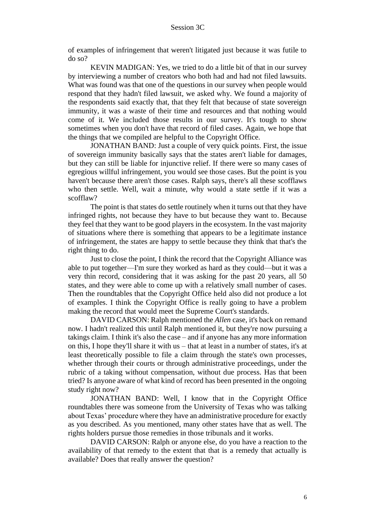of examples of infringement that weren't litigated just because it was futile to do so?

KEVIN MADIGAN: Yes, we tried to do a little bit of that in our survey by interviewing a number of creators who both had and had not filed lawsuits. What was found was that one of the questions in our survey when people would respond that they hadn't filed lawsuit, we asked why. We found a majority of the respondents said exactly that, that they felt that because of state sovereign immunity, it was a waste of their time and resources and that nothing would come of it. We included those results in our survey. It's tough to show sometimes when you don't have that record of filed cases. Again, we hope that the things that we compiled are helpful to the Copyright Office.

JONATHAN BAND: Just a couple of very quick points. First, the issue of sovereign immunity basically says that the states aren't liable for damages, but they can still be liable for injunctive relief. If there were so many cases of egregious willful infringement, you would see those cases. But the point is you haven't because there aren't those cases. Ralph says, there's all these scofflaws who then settle. Well, wait a minute, why would a state settle if it was a scofflaw?

The point is that states do settle routinely when it turns out that they have infringed rights, not because they have to but because they want to. Because they feel that they want to be good players in the ecosystem. In the vast majority of situations where there is something that appears to be a legitimate instance of infringement, the states are happy to settle because they think that that's the right thing to do.

Just to close the point, I think the record that the Copyright Alliance was able to put together—I'm sure they worked as hard as they could—but it was a very thin record, considering that it was asking for the past 20 years, all 50 states, and they were able to come up with a relatively small number of cases. Then the roundtables that the Copyright Office held also did not produce a lot of examples. I think the Copyright Office is really going to have a problem making the record that would meet the Supreme Court's standards.

DAVID CARSON: Ralph mentioned the *Allen* case, it's back on remand now. I hadn't realized this until Ralph mentioned it, but they're now pursuing a takings claim. I think it's also the case – and if anyone has any more information on this, I hope they'll share it with us – that at least in a number of states, it's at least theoretically possible to file a claim through the state's own processes, whether through their courts or through administrative proceedings, under the rubric of a taking without compensation, without due process. Has that been tried? Is anyone aware of what kind of record has been presented in the ongoing study right now?

JONATHAN BAND: Well, I know that in the Copyright Office roundtables there was someone from the University of Texas who was talking about Texas' procedure where they have an administrative procedure for exactly as you described. As you mentioned, many other states have that as well. The rights holders pursue those remedies in those tribunals and it works.

DAVID CARSON: Ralph or anyone else, do you have a reaction to the availability of that remedy to the extent that that is a remedy that actually is available? Does that really answer the question?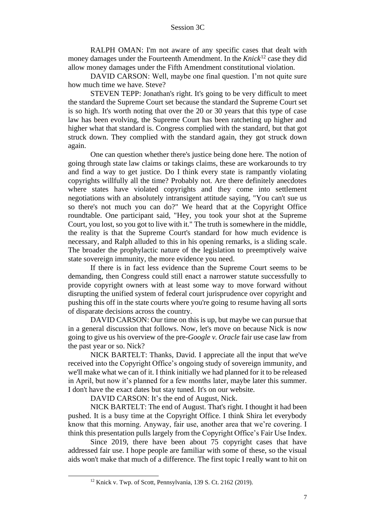RALPH OMAN: I'm not aware of any specific cases that dealt with money damages under the Fourteenth Amendment. In the *Knick*<sup>12</sup> case they did allow money damages under the Fifth Amendment constitutional violation.

DAVID CARSON: Well, maybe one final question. I'm not quite sure how much time we have. Steve?

STEVEN TEPP: Jonathan's right. It's going to be very difficult to meet the standard the Supreme Court set because the standard the Supreme Court set is so high. It's worth noting that over the 20 or 30 years that this type of case law has been evolving, the Supreme Court has been ratcheting up higher and higher what that standard is. Congress complied with the standard, but that got struck down. They complied with the standard again, they got struck down again.

One can question whether there's justice being done here. The notion of going through state law claims or takings claims, these are workarounds to try and find a way to get justice. Do I think every state is rampantly violating copyrights willfully all the time? Probably not. Are there definitely anecdotes where states have violated copyrights and they come into settlement negotiations with an absolutely intransigent attitude saying, "You can't sue us so there's not much you can do?" We heard that at the Copyright Office roundtable. One participant said, "Hey, you took your shot at the Supreme Court, you lost, so you got to live with it." The truth is somewhere in the middle, the reality is that the Supreme Court's standard for how much evidence is necessary, and Ralph alluded to this in his opening remarks, is a sliding scale. The broader the prophylactic nature of the legislation to preemptively waive state sovereign immunity, the more evidence you need.

If there is in fact less evidence than the Supreme Court seems to be demanding, then Congress could still enact a narrower statute successfully to provide copyright owners with at least some way to move forward without disrupting the unified system of federal court jurisprudence over copyright and pushing this off in the state courts where you're going to resume having all sorts of disparate decisions across the country.

DAVID CARSON: Our time on this is up, but maybe we can pursue that in a general discussion that follows. Now, let's move on because Nick is now going to give us his overview of the pre-*Google v. Oracle* fair use case law from the past year or so. Nick?

NICK BARTELT: Thanks, David. I appreciate all the input that we've received into the Copyright Office's ongoing study of sovereign immunity, and we'll make what we can of it. I think initially we had planned for it to be released in April, but now it's planned for a few months later, maybe later this summer. I don't have the exact dates but stay tuned. It's on our website.

DAVID CARSON: It's the end of August, Nick.

NICK BARTELT: The end of August. That's right. I thought it had been pushed. It is a busy time at the Copyright Office. I think Shira let everybody know that this morning. Anyway, fair use, another area that we're covering. I think this presentation pulls largely from the Copyright Office's Fair Use Index.

Since 2019, there have been about 75 copyright cases that have addressed fair use. I hope people are familiar with some of these, so the visual aids won't make that much of a difference. The first topic I really want to hit on

<sup>12</sup> Knick v. Twp. of Scott, Pennsylvania, 139 S. Ct. 2162 (2019).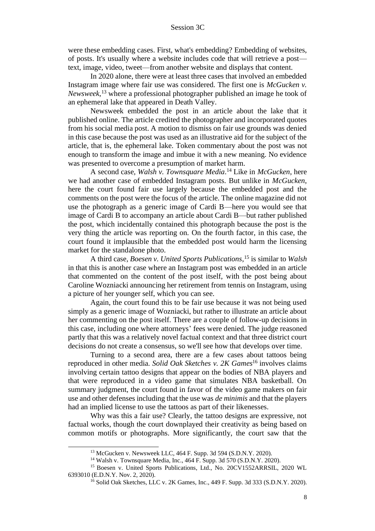were these embedding cases. First, what's embedding? Embedding of websites, of posts. It's usually where a website includes code that will retrieve a post text, image, video, tweet—from another website and displays that content.

In 2020 alone, there were at least three cases that involved an embedded Instagram image where fair use was considered. The first one is *McGucken v. Newsweek,*<sup>13</sup> where a professional photographer published an image he took of an ephemeral lake that appeared in Death Valley.

Newsweek embedded the post in an article about the lake that it published online. The article credited the photographer and incorporated quotes from his social media post. A motion to dismiss on fair use grounds was denied in this case because the post was used as an illustrative aid for the subject of the article, that is, the ephemeral lake. Token commentary about the post was not enough to transform the image and imbue it with a new meaning. No evidence was presented to overcome a presumption of market harm.

A second case, *Walsh v. Townsquare Media*. <sup>14</sup> Like in *McGucken*, here we had another case of embedded Instagram posts. But unlike in *McGucken*, here the court found fair use largely because the embedded post and the comments on the post were the focus of the article. The online magazine did not use the photograph as a generic image of Cardi B—here you would see that image of Cardi B to accompany an article about Cardi B—but rather published the post, which incidentally contained this photograph because the post is the very thing the article was reporting on. On the fourth factor, in this case, the court found it implausible that the embedded post would harm the licensing market for the standalone photo.

A third case, *Boesen v. United Sports Publications*, <sup>15</sup> is similar to *Walsh* in that this is another case where an Instagram post was embedded in an article that commented on the content of the post itself, with the post being about Caroline Wozniacki announcing her retirement from tennis on Instagram, using a picture of her younger self, which you can see.

Again, the court found this to be fair use because it was not being used simply as a generic image of Wozniacki, but rather to illustrate an article about her commenting on the post itself. There are a couple of follow-up decisions in this case, including one where attorneys' fees were denied. The judge reasoned partly that this was a relatively novel factual context and that three district court decisions do not create a consensus, so we'll see how that develops over time.

Turning to a second area, there are a few cases about tattoos being reproduced in other media. *Solid Oak Sketches v. 2K Games*<sup>16</sup> involves claims involving certain tattoo designs that appear on the bodies of NBA players and that were reproduced in a video game that simulates NBA basketball. On summary judgment, the court found in favor of the video game makers on fair use and other defenses including that the use was *de minimis* and that the players had an implied license to use the tattoos as part of their likenesses.

Why was this a fair use? Clearly, the tattoo designs are expressive, not factual works, though the court downplayed their creativity as being based on common motifs or photographs. More significantly, the court saw that the

<sup>13</sup> McGucken v. Newsweek LLC, 464 F. Supp. 3d 594 (S.D.N.Y. 2020).

<sup>14</sup> Walsh v. Townsquare Media, Inc., 464 F. Supp. 3d 570 (S.D.N.Y. 2020).

<sup>15</sup> Boesen v. United Sports Publications, Ltd., No. 20CV1552ARRSIL, 2020 WL 6393010 (E.D.N.Y. Nov. 2, 2020).

<sup>16</sup> Solid Oak Sketches, LLC v. 2K Games, Inc., 449 F. Supp. 3d 333 (S.D.N.Y. 2020).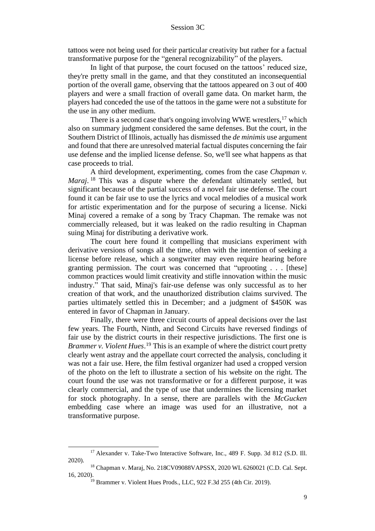tattoos were not being used for their particular creativity but rather for a factual transformative purpose for the "general recognizability" of the players.

In light of that purpose, the court focused on the tattoos' reduced size, they're pretty small in the game, and that they constituted an inconsequential portion of the overall game, observing that the tattoos appeared on 3 out of 400 players and were a small fraction of overall game data. On market harm, the players had conceded the use of the tattoos in the game were not a substitute for the use in any other medium.

There is a second case that's ongoing involving WWE wrestlers,<sup>17</sup> which also on summary judgment considered the same defenses. But the court, in the Southern District of Illinois, actually has dismissed the *de minimis* use argument and found that there are unresolved material factual disputes concerning the fair use defense and the implied license defense. So, we'll see what happens as that case proceeds to trial.

A third development, experimenting, comes from the case *Chapman v. Maraj*. <sup>18</sup> This was a dispute where the defendant ultimately settled, but significant because of the partial success of a novel fair use defense. The court found it can be fair use to use the lyrics and vocal melodies of a musical work for artistic experimentation and for the purpose of securing a license. Nicki Minaj covered a remake of a song by Tracy Chapman. The remake was not commercially released, but it was leaked on the radio resulting in Chapman suing Minaj for distributing a derivative work.

The court here found it compelling that musicians experiment with derivative versions of songs all the time, often with the intention of seeking a license before release, which a songwriter may even require hearing before granting permission. The court was concerned that "uprooting . . . [these] common practices would limit creativity and stifle innovation within the music industry." That said, Minaj's fair-use defense was only successful as to her creation of that work, and the unauthorized distribution claims survived. The parties ultimately settled this in December; and a judgment of \$450K was entered in favor of Chapman in January.

Finally, there were three circuit courts of appeal decisions over the last few years. The Fourth, Ninth, and Second Circuits have reversed findings of fair use by the district courts in their respective jurisdictions. The first one is *Brammer v. Violent Hues*. <sup>19</sup> This is an example of where the district court pretty clearly went astray and the appellate court corrected the analysis, concluding it was not a fair use. Here, the film festival organizer had used a cropped version of the photo on the left to illustrate a section of his website on the right. The court found the use was not transformative or for a different purpose, it was clearly commercial, and the type of use that undermines the licensing market for stock photography. In a sense, there are parallels with the *McGucken* embedding case where an image was used for an illustrative, not a transformative purpose.

<sup>&</sup>lt;sup>17</sup> Alexander v. Take-Two Interactive Software, Inc., 489 F. Supp. 3d 812 (S.D. Ill. 2020).

<sup>18</sup> Chapman v. Maraj, No. 218CV09088VAPSSX, 2020 WL 6260021 (C.D. Cal. Sept. 16, 2020).

 $19$  Brammer v. Violent Hues Prods., LLC, 922 F.3d 255 (4th Cir. 2019).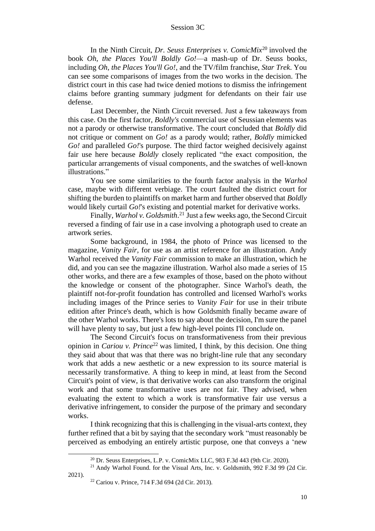In the Ninth Circuit, *Dr. Seuss Enterprises v. ComicMix*<sup>20</sup> involved the book *Oh, the Places You'll Boldly Go!*—a mash-up of Dr. Seuss books, including *Oh, the Places You'll Go!*, and the TV/film franchise, *Star Trek*. You can see some comparisons of images from the two works in the decision. The district court in this case had twice denied motions to dismiss the infringement claims before granting summary judgment for defendants on their fair use defense.

Last December, the Ninth Circuit reversed. Just a few takeaways from this case. On the first factor, *Boldly's* commercial use of Seussian elements was not a parody or otherwise transformative. The court concluded that *Boldly* did not critique or comment on *Go!* as a parody would; rather, *Boldly* mimicked *Go!* and paralleled *Go!*'s purpose. The third factor weighed decisively against fair use here because *Boldly* closely replicated "the exact composition, the particular arrangements of visual components, and the swatches of well-known illustrations."

You see some similarities to the fourth factor analysis in the *Warhol* case, maybe with different verbiage. The court faulted the district court for shifting the burden to plaintiffs on market harm and further observed that *Boldly* would likely curtail *Go!*'s existing and potential market for derivative works.

Finally, *Warhol v. Goldsmith*. <sup>21</sup> Just a few weeks ago, the Second Circuit reversed a finding of fair use in a case involving a photograph used to create an artwork series.

Some background, in 1984, the photo of Prince was licensed to the magazine, *Vanity Fair,* for use as an artist reference for an illustration. Andy Warhol received the *Vanity Fair* commission to make an illustration, which he did, and you can see the magazine illustration. Warhol also made a series of 15 other works, and there are a few examples of those, based on the photo without the knowledge or consent of the photographer. Since Warhol's death, the plaintiff not-for-profit foundation has controlled and licensed Warhol's works including images of the Prince series to *Vanity Fair* for use in their tribute edition after Prince's death, which is how Goldsmith finally became aware of the other Warhol works. There's lots to say about the decision, I'm sure the panel will have plenty to say, but just a few high-level points I'll conclude on.

The Second Circuit's focus on transformativeness from their previous opinion in *Cariou v. Prince*<sup>22</sup> was limited, I think, by this decision. One thing they said about that was that there was no bright-line rule that any secondary work that adds a new aesthetic or a new expression to its source material is necessarily transformative. A thing to keep in mind, at least from the Second Circuit's point of view, is that derivative works can also transform the original work and that some transformative uses are not fair. They advised, when evaluating the extent to which a work is transformative fair use versus a derivative infringement, to consider the purpose of the primary and secondary works.

I think recognizing that this is challenging in the visual-arts context, they further refined that a bit by saying that the secondary work "must reasonably be perceived as embodying an entirely artistic purpose, one that conveys a 'new

 $20$  Dr. Seuss Enterprises, L.P. v. ComicMix LLC, 983 F.3d 443 (9th Cir. 2020).

<sup>21</sup> Andy Warhol Found. for the Visual Arts, Inc. v. Goldsmith, 992 F.3d 99 (2d Cir. 2021).

<sup>22</sup> Cariou v. Prince, 714 F.3d 694 (2d Cir. 2013).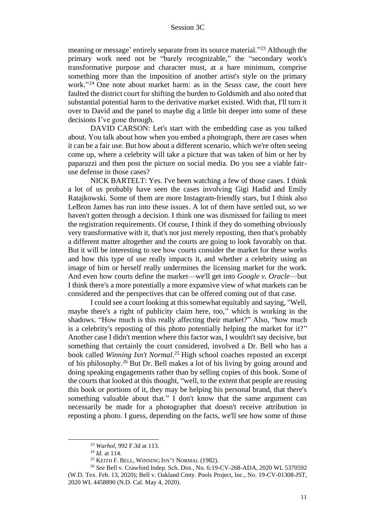meaning or message' entirely separate from its source material."<sup>23</sup> Although the primary work need not be "barely recognizable," the "secondary work's transformative purpose and character must, at a bare minimum, comprise something more than the imposition of another artist's style on the primary work." <sup>24</sup> One note about market harm: as in the *Seuss* case, the court here faulted the district court for shifting the burden to Goldsmith and also noted that substantial potential harm to the derivative market existed. With that, I'll turn it over to David and the panel to maybe dig a little bit deeper into some of these decisions I've gone through.

DAVID CARSON: Let's start with the embedding case as you talked about. You talk about how when you embed a photograph, there are cases when it can be a fair use. But how about a different scenario, which we're often seeing come up, where a celebrity will take a picture that was taken of him or her by paparazzi and then post the picture on social media. Do you see a viable fairuse defense in those cases?

NICK BARTELT: Yes. I've been watching a few of those cases. I think a lot of us probably have seen the cases involving Gigi Hadid and Emily Ratajkowski. Some of them are more Instagram-friendly stars, but I think also LeBron James has run into these issues. A lot of them have settled out, so we haven't gotten through a decision. I think one was dismissed for failing to meet the registration requirements. Of course, I think if they do something obviously very transformative with it, that's not just merely reposting, then that's probably a different matter altogether and the courts are going to look favorably on that. But it will be interesting to see how courts consider the market for these works and how this type of use really impacts it, and whether a celebrity using an image of him or herself really undermines the licensing market for the work. And even how courts define the market—we'll get into *Google v. Oracle*—but I think there's a more potentially a more expansive view of what markets can be considered and the perspectives that can be offered coming out of that case.

I could see a court looking at this somewhat equitably and saying, "Well, maybe there's a right of publicity claim here, too," which is working in the shadows. "How much is this really affecting their market?" Also, "how much is a celebrity's reposting of this photo potentially helping the market for it?" Another case I didn't mention where this factor was, I wouldn't say decisive, but something that certainly the court considered, involved a Dr. Bell who has a book called *Winning Isn't Normal*. <sup>25</sup> High school coaches reposted an excerpt of his philosophy.<sup>26</sup> But Dr. Bell makes a lot of his living by going around and doing speaking engagements rather than by selling copies of this book. Some of the courts that looked at this thought, "well, to the extent that people are reusing this book or portions of it, they may be helping his personal brand, that there's something valuable about that." I don't know that the same argument can necessarily be made for a photographer that doesn't receive attribution in reposting a photo. I guess, depending on the facts, we'll see how some of those

<sup>23</sup> *Warhol*, 992 F.3d at 113.

<sup>24</sup> *Id.* at 114.

<sup>25</sup> KEITH F. BELL, WINNING ISN'T NORMAL (1982).

<sup>26</sup> *See* Bell v. Crawford Indep. Sch. Dist., No. 6:19-CV-268-ADA, 2020 WL 5370592 (W.D. Tex. Feb. 13, 2020); Bell v. Oakland Cmty. Pools Project, Inc., No. 19-CV-01308-JST, 2020 WL 4458890 (N.D. Cal. May 4, 2020).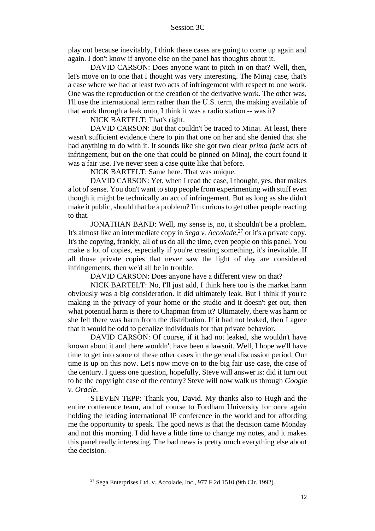play out because inevitably, I think these cases are going to come up again and again. I don't know if anyone else on the panel has thoughts about it.

DAVID CARSON: Does anyone want to pitch in on that? Well, then, let's move on to one that I thought was very interesting. The Minaj case, that's a case where we had at least two acts of infringement with respect to one work. One was the reproduction or the creation of the derivative work. The other was, I'll use the international term rather than the U.S. term, the making available of that work through a leak onto, I think it was a radio station -- was it?

NICK BARTELT: That's right.

DAVID CARSON: But that couldn't be traced to Minaj. At least, there wasn't sufficient evidence there to pin that one on her and she denied that she had anything to do with it. It sounds like she got two clear *prima facie* acts of infringement, but on the one that could be pinned on Minaj, the court found it was a fair use. I've never seen a case quite like that before.

NICK BARTELT: Same here. That was unique.

DAVID CARSON: Yet, when I read the case, I thought, yes, that makes a lot of sense. You don't want to stop people from experimenting with stuff even though it might be technically an act of infringement. But as long as she didn't make it public, should that be a problem? I'm curious to get other people reacting to that.

JONATHAN BAND: Well, my sense is, no, it shouldn't be a problem. It's almost like an intermediate copy in *Sega v. Accolade*, <sup>27</sup> or it's a private copy. It's the copying, frankly, all of us do all the time, even people on this panel. You make a lot of copies, especially if you're creating something, it's inevitable. If all those private copies that never saw the light of day are considered infringements, then we'd all be in trouble.

DAVID CARSON: Does anyone have a different view on that?

NICK BARTELT: No, I'll just add, I think here too is the market harm obviously was a big consideration. It did ultimately leak. But I think if you're making in the privacy of your home or the studio and it doesn't get out, then what potential harm is there to Chapman from it? Ultimately, there was harm or she felt there was harm from the distribution. If it had not leaked, then I agree that it would be odd to penalize individuals for that private behavior.

DAVID CARSON: Of course, if it had not leaked, she wouldn't have known about it and there wouldn't have been a lawsuit. Well, I hope we'll have time to get into some of these other cases in the general discussion period. Our time is up on this now. Let's now move on to the big fair use case, the case of the century. I guess one question, hopefully, Steve will answer is: did it turn out to be the copyright case of the century? Steve will now walk us through *Google v. Oracle*.

STEVEN TEPP: Thank you, David. My thanks also to Hugh and the entire conference team, and of course to Fordham University for once again holding the leading international IP conference in the world and for affording me the opportunity to speak. The good news is that the decision came Monday and not this morning. I did have a little time to change my notes, and it makes this panel really interesting. The bad news is pretty much everything else about the decision.

 $27$  Sega Enterprises Ltd. v. Accolade, Inc., 977 F.2d 1510 (9th Cir. 1992).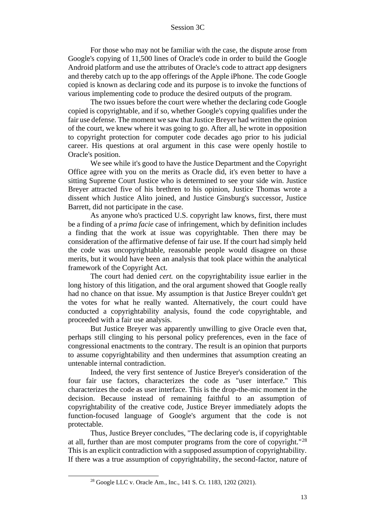For those who may not be familiar with the case, the dispute arose from Google's copying of 11,500 lines of Oracle's code in order to build the Google Android platform and use the attributes of Oracle's code to attract app designers and thereby catch up to the app offerings of the Apple iPhone. The code Google copied is known as declaring code and its purpose is to invoke the functions of various implementing code to produce the desired outputs of the program.

The two issues before the court were whether the declaring code Google copied is copyrightable, and if so, whether Google's copying qualifies under the fair use defense. The moment we saw that Justice Breyer had written the opinion of the court, we knew where it was going to go. After all, he wrote in opposition to copyright protection for computer code decades ago prior to his judicial career. His questions at oral argument in this case were openly hostile to Oracle's position.

We see while it's good to have the Justice Department and the Copyright Office agree with you on the merits as Oracle did, it's even better to have a sitting Supreme Court Justice who is determined to see your side win. Justice Breyer attracted five of his brethren to his opinion, Justice Thomas wrote a dissent which Justice Alito joined, and Justice Ginsburg's successor, Justice Barrett, did not participate in the case.

As anyone who's practiced U.S. copyright law knows, first, there must be a finding of a *prima facie* case of infringement, which by definition includes a finding that the work at issue was copyrightable. Then there may be consideration of the affirmative defense of fair use. If the court had simply held the code was uncopyrightable, reasonable people would disagree on those merits, but it would have been an analysis that took place within the analytical framework of the Copyright Act.

The court had denied *cert.* on the copyrightability issue earlier in the long history of this litigation, and the oral argument showed that Google really had no chance on that issue. My assumption is that Justice Breyer couldn't get the votes for what he really wanted. Alternatively, the court could have conducted a copyrightability analysis, found the code copyrightable, and proceeded with a fair use analysis.

But Justice Breyer was apparently unwilling to give Oracle even that, perhaps still clinging to his personal policy preferences, even in the face of congressional enactments to the contrary. The result is an opinion that purports to assume copyrightability and then undermines that assumption creating an untenable internal contradiction.

Indeed, the very first sentence of Justice Breyer's consideration of the four fair use factors, characterizes the code as "user interface." This characterizes the code as user interface. This is the drop-the-mic moment in the decision. Because instead of remaining faithful to an assumption of copyrightability of the creative code, Justice Breyer immediately adopts the function-focused language of Google's argument that the code is not protectable.

Thus, Justice Breyer concludes, "The declaring code is, if copyrightable at all, further than are most computer programs from the core of copyright."<sup>28</sup> This is an explicit contradiction with a supposed assumption of copyrightability. If there was a true assumption of copyrightability, the second-factor, nature of

<sup>28</sup> Google LLC v. Oracle Am., Inc., 141 S. Ct. 1183, 1202 (2021).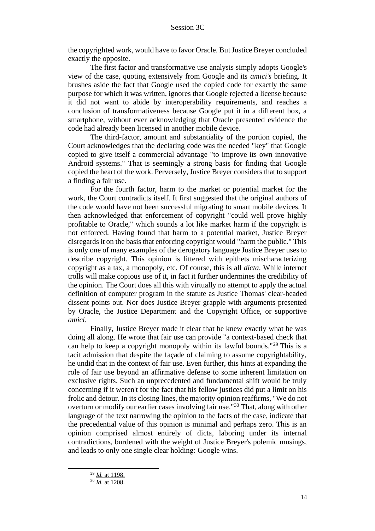the copyrighted work, would have to favor Oracle. But Justice Breyer concluded exactly the opposite.

The first factor and transformative use analysis simply adopts Google's view of the case, quoting extensively from Google and its *amici's* briefing. It brushes aside the fact that Google used the copied code for exactly the same purpose for which it was written, ignores that Google rejected a license because it did not want to abide by interoperability requirements, and reaches a conclusion of transformativeness because Google put it in a different box, a smartphone, without ever acknowledging that Oracle presented evidence the code had already been licensed in another mobile device.

The third-factor, amount and substantiality of the portion copied, the Court acknowledges that the declaring code was the needed "key" that Google copied to give itself a commercial advantage "to improve its own innovative Android systems." That is seemingly a strong basis for finding that Google copied the heart of the work. Perversely, Justice Breyer considers that to support a finding a fair use.

For the fourth factor, harm to the market or potential market for the work, the Court contradicts itself. It first suggested that the original authors of the code would have not been successful migrating to smart mobile devices. It then acknowledged that enforcement of copyright "could well prove highly profitable to Oracle," which sounds a lot like market harm if the copyright is not enforced. Having found that harm to a potential market, Justice Breyer disregards it on the basis that enforcing copyright would "harm the public." This is only one of many examples of the derogatory language Justice Breyer uses to describe copyright. This opinion is littered with epithets mischaracterizing copyright as a tax, a monopoly, etc. Of course, this is all *dicta*. While internet trolls will make copious use of it, in fact it further undermines the credibility of the opinion. The Court does all this with virtually no attempt to apply the actual definition of computer program in the statute as Justice Thomas' clear-headed dissent points out. Nor does Justice Breyer grapple with arguments presented by Oracle, the Justice Department and the Copyright Office, or supportive *amici*.

Finally, Justice Breyer made it clear that he knew exactly what he was doing all along. He wrote that fair use can provide "a context-based check that can help to keep a copyright monopoly within its lawful bounds."<sup>29</sup> This is a tacit admission that despite the façade of claiming to assume copyrightability, he undid that in the context of fair use. Even further, this hints at expanding the role of fair use beyond an affirmative defense to some inherent limitation on exclusive rights. Such an unprecedented and fundamental shift would be truly concerning if it weren't for the fact that his fellow justices did put a limit on his frolic and detour. In its closing lines, the majority opinion reaffirms, "We do not overturn or modify our earlier cases involving fair use."<sup>30</sup> That, along with other language of the text narrowing the opinion to the facts of the case, indicate that the precedential value of this opinion is minimal and perhaps zero. This is an opinion comprised almost entirely of dicta, laboring under its internal contradictions, burdened with the weight of Justice Breyer's polemic musings, and leads to only one single clear holding: Google wins.

<sup>29</sup> *Id.* at 1198.

<sup>30</sup> *Id.* at 1208.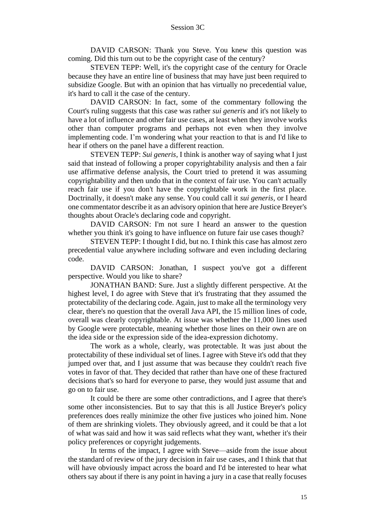DAVID CARSON: Thank you Steve. You knew this question was coming. Did this turn out to be the copyright case of the century?

STEVEN TEPP: Well, it's the copyright case of the century for Oracle because they have an entire line of business that may have just been required to subsidize Google. But with an opinion that has virtually no precedential value, it's hard to call it the case of the century.

DAVID CARSON: In fact, some of the commentary following the Court's ruling suggests that this case was rather *sui generis* and it's not likely to have a lot of influence and other fair use cases, at least when they involve works other than computer programs and perhaps not even when they involve implementing code. I'm wondering what your reaction to that is and I'd like to hear if others on the panel have a different reaction.

STEVEN TEPP: *Sui generis*, I think is another way of saying what I just said that instead of following a proper copyrightability analysis and then a fair use affirmative defense analysis, the Court tried to pretend it was assuming copyrightability and then undo that in the context of fair use. You can't actually reach fair use if you don't have the copyrightable work in the first place. Doctrinally, it doesn't make any sense. You could call it *sui generis*, or I heard one commentator describe it as an advisory opinion that here are Justice Breyer's thoughts about Oracle's declaring code and copyright.

DAVID CARSON: I'm not sure I heard an answer to the question whether you think it's going to have influence on future fair use cases though?

STEVEN TEPP: I thought I did, but no. I think this case has almost zero precedential value anywhere including software and even including declaring code.

DAVID CARSON: Jonathan, I suspect you've got a different perspective. Would you like to share?

JONATHAN BAND: Sure. Just a slightly different perspective. At the highest level, I do agree with Steve that it's frustrating that they assumed the protectability of the declaring code. Again, just to make all the terminology very clear, there's no question that the overall Java API, the 15 million lines of code, overall was clearly copyrightable. At issue was whether the 11,000 lines used by Google were protectable, meaning whether those lines on their own are on the idea side or the expression side of the idea-expression dichotomy.

The work as a whole, clearly, was protectable. It was just about the protectability of these individual set of lines. I agree with Steve it's odd that they jumped over that, and I just assume that was because they couldn't reach five votes in favor of that. They decided that rather than have one of these fractured decisions that's so hard for everyone to parse, they would just assume that and go on to fair use.

It could be there are some other contradictions, and I agree that there's some other inconsistencies. But to say that this is all Justice Breyer's policy preferences does really minimize the other five justices who joined him. None of them are shrinking violets. They obviously agreed, and it could be that a lot of what was said and how it was said reflects what they want, whether it's their policy preferences or copyright judgements.

In terms of the impact, I agree with Steve—aside from the issue about the standard of review of the jury decision in fair use cases, and I think that that will have obviously impact across the board and I'd be interested to hear what others say about if there is any point in having a jury in a case that really focuses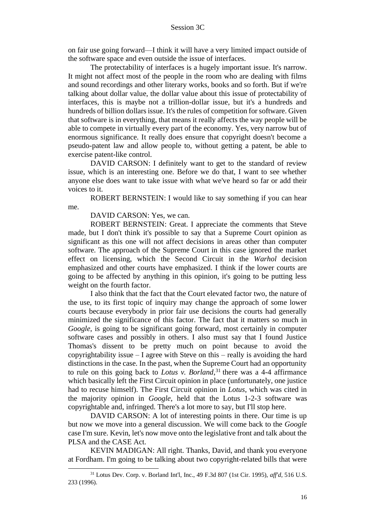on fair use going forward—I think it will have a very limited impact outside of the software space and even outside the issue of interfaces.

The protectability of interfaces is a hugely important issue. It's narrow. It might not affect most of the people in the room who are dealing with films and sound recordings and other literary works, books and so forth. But if we're talking about dollar value, the dollar value about this issue of protectability of interfaces, this is maybe not a trillion-dollar issue, but it's a hundreds and hundreds of billion dollars issue. It's the rules of competition for software. Given that software is in everything, that means it really affects the way people will be able to compete in virtually every part of the economy. Yes, very narrow but of enormous significance. It really does ensure that copyright doesn't become a pseudo-patent law and allow people to, without getting a patent, be able to exercise patent-like control.

DAVID CARSON: I definitely want to get to the standard of review issue, which is an interesting one. Before we do that, I want to see whether anyone else does want to take issue with what we've heard so far or add their voices to it.

ROBERT BERNSTEIN: I would like to say something if you can hear me.

DAVID CARSON: Yes, we can.

ROBERT BERNSTEIN: Great. I appreciate the comments that Steve made, but I don't think it's possible to say that a Supreme Court opinion as significant as this one will not affect decisions in areas other than computer software. The approach of the Supreme Court in this case ignored the market effect on licensing, which the Second Circuit in the *Warhol* decision emphasized and other courts have emphasized. I think if the lower courts are going to be affected by anything in this opinion, it's going to be putting less weight on the fourth factor.

I also think that the fact that the Court elevated factor two, the nature of the use, to its first topic of inquiry may change the approach of some lower courts because everybody in prior fair use decisions the courts had generally minimized the significance of this factor. The fact that it matters so much in *Google*, is going to be significant going forward, most certainly in computer software cases and possibly in others. I also must say that I found Justice Thomas's dissent to be pretty much on point because to avoid the copyrightability issue – I agree with Steve on this – really is avoiding the hard distinctions in the case. In the past, when the Supreme Court had an opportunity to rule on this going back to *Lotus v. Borland*, <sup>31</sup> there was a 4-4 affirmance which basically left the First Circuit opinion in place (unfortunately, one justice had to recuse himself). The First Circuit opinion in *Lotus*, which was cited in the majority opinion in *Google*, held that the Lotus 1-2-3 software was copyrightable and, infringed. There's a lot more to say, but I'll stop here.

DAVID CARSON: A lot of interesting points in there. Our time is up but now we move into a general discussion. We will come back to the *Google* case I'm sure. Kevin, let's now move onto the legislative front and talk about the PLSA and the CASE Act.

KEVIN MADIGAN: All right. Thanks, David, and thank you everyone at Fordham. I'm going to be talking about two copyright-related bills that were

<sup>31</sup> Lotus Dev. Corp. v. Borland Int'l, Inc., 49 F.3d 807 (1st Cir. 1995), *aff'd*, 516 U.S. 233 (1996).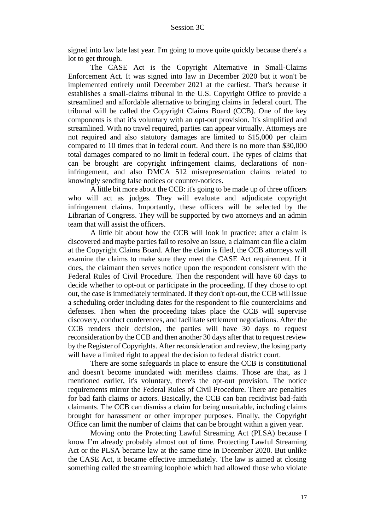signed into law late last year. I'm going to move quite quickly because there's a lot to get through.

The CASE Act is the Copyright Alternative in Small-Claims Enforcement Act. It was signed into law in December 2020 but it won't be implemented entirely until December 2021 at the earliest. That's because it establishes a small-claims tribunal in the U.S. Copyright Office to provide a streamlined and affordable alternative to bringing claims in federal court. The tribunal will be called the Copyright Claims Board (CCB). One of the key components is that it's voluntary with an opt-out provision. It's simplified and streamlined. With no travel required, parties can appear virtually. Attorneys are not required and also statutory damages are limited to \$15,000 per claim compared to 10 times that in federal court. And there is no more than \$30,000 total damages compared to no limit in federal court. The types of claims that can be brought are copyright infringement claims, declarations of noninfringement, and also DMCA 512 misrepresentation claims related to knowingly sending false notices or counter-notices.

A little bit more about the CCB: it's going to be made up of three officers who will act as judges. They will evaluate and adjudicate copyright infringement claims. Importantly, these officers will be selected by the Librarian of Congress. They will be supported by two attorneys and an admin team that will assist the officers.

A little bit about how the CCB will look in practice: after a claim is discovered and maybe parties fail to resolve an issue, a claimant can file a claim at the Copyright Claims Board. After the claim is filed, the CCB attorneys will examine the claims to make sure they meet the CASE Act requirement. If it does, the claimant then serves notice upon the respondent consistent with the Federal Rules of Civil Procedure. Then the respondent will have 60 days to decide whether to opt-out or participate in the proceeding. If they chose to opt out, the case is immediately terminated. If they don't opt-out, the CCB will issue a scheduling order including dates for the respondent to file counterclaims and defenses. Then when the proceeding takes place the CCB will supervise discovery, conduct conferences, and facilitate settlement negotiations. After the CCB renders their decision, the parties will have 30 days to request reconsideration by the CCB and then another 30 days after that to request review by the Register of Copyrights. After reconsideration and review, the losing party will have a limited right to appeal the decision to federal district court.

There are some safeguards in place to ensure the CCB is constitutional and doesn't become inundated with meritless claims. Those are that, as I mentioned earlier, it's voluntary, there's the opt-out provision. The notice requirements mirror the Federal Rules of Civil Procedure. There are penalties for bad faith claims or actors. Basically, the CCB can ban recidivist bad-faith claimants. The CCB can dismiss a claim for being unsuitable, including claims brought for harassment or other improper purposes. Finally, the Copyright Office can limit the number of claims that can be brought within a given year.

Moving onto the Protecting Lawful Streaming Act (PLSA) because I know I'm already probably almost out of time. Protecting Lawful Streaming Act or the PLSA became law at the same time in December 2020. But unlike the CASE Act, it became effective immediately. The law is aimed at closing something called the streaming loophole which had allowed those who violate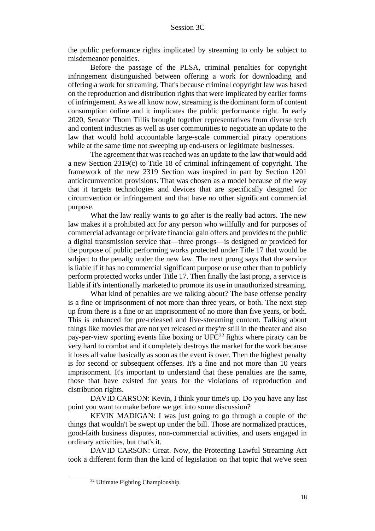the public performance rights implicated by streaming to only be subject to misdemeanor penalties.

Before the passage of the PLSA, criminal penalties for copyright infringement distinguished between offering a work for downloading and offering a work for streaming. That's because criminal copyright law was based on the reproduction and distribution rights that were implicated by earlier forms of infringement. As we all know now, streaming is the dominant form of content consumption online and it implicates the public performance right. In early 2020, Senator Thom Tillis brought together representatives from diverse tech and content industries as well as user communities to negotiate an update to the law that would hold accountable large-scale commercial piracy operations while at the same time not sweeping up end-users or legitimate businesses.

The agreement that was reached was an update to the law that would add a new Section 2319(c) to Title 18 of criminal infringement of copyright. The framework of the new 2319 Section was inspired in part by Section 1201 anticircumvention provisions. That was chosen as a model because of the way that it targets technologies and devices that are specifically designed for circumvention or infringement and that have no other significant commercial purpose.

What the law really wants to go after is the really bad actors. The new law makes it a prohibited act for any person who willfully and for purposes of commercial advantage or private financial gain offers and provides to the public a digital transmission service that—three prongs—is designed or provided for the purpose of public performing works protected under Title 17 that would be subject to the penalty under the new law. The next prong says that the service is liable if it has no commercial significant purpose or use other than to publicly perform protected works under Title 17. Then finally the last prong, a service is liable if it's intentionally marketed to promote its use in unauthorized streaming.

What kind of penalties are we talking about? The base offense penalty is a fine or imprisonment of not more than three years, or both. The next step up from there is a fine or an imprisonment of no more than five years, or both. This is enhanced for pre-released and live-streaming content. Talking about things like movies that are not yet released or they're still in the theater and also pay-per-view sporting events like boxing or  $UFC^{32}$  fights where piracy can be very hard to combat and it completely destroys the market for the work because it loses all value basically as soon as the event is over. Then the highest penalty is for second or subsequent offenses. It's a fine and not more than 10 years imprisonment. It's important to understand that these penalties are the same, those that have existed for years for the violations of reproduction and distribution rights.

DAVID CARSON: Kevin, I think your time's up. Do you have any last point you want to make before we get into some discussion?

KEVIN MADIGAN: I was just going to go through a couple of the things that wouldn't be swept up under the bill. Those are normalized practices, good-faith business disputes, non-commercial activities, and users engaged in ordinary activities, but that's it.

DAVID CARSON: Great. Now, the Protecting Lawful Streaming Act took a different form than the kind of legislation on that topic that we've seen

<sup>32</sup> Ultimate Fighting Championship.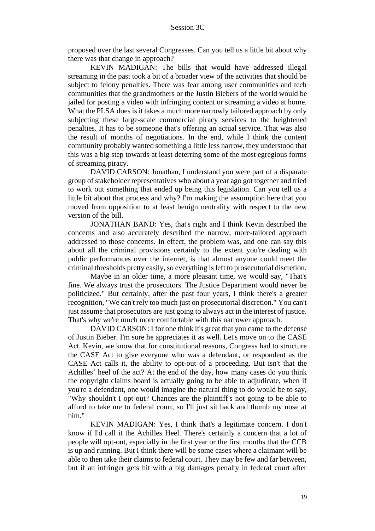proposed over the last several Congresses. Can you tell us a little bit about why there was that change in approach?

KEVIN MADIGAN: The bills that would have addressed illegal streaming in the past took a bit of a broader view of the activities that should be subject to felony penalties. There was fear among user communities and tech communities that the grandmothers or the Justin Biebers of the world would be jailed for posting a video with infringing content or streaming a video at home. What the PLSA does is it takes a much more narrowly tailored approach by only subjecting these large-scale commercial piracy services to the heightened penalties. It has to be someone that's offering an actual service. That was also the result of months of negotiations. In the end, while I think the content community probably wanted something a little less narrow, they understood that this was a big step towards at least deterring some of the most egregious forms of streaming piracy.

DAVID CARSON: Jonathan, I understand you were part of a disparate group of stakeholder representatives who about a year ago got together and tried to work out something that ended up being this legislation. Can you tell us a little bit about that process and why? I'm making the assumption here that you moved from opposition to at least benign neutrality with respect to the new version of the bill.

JONATHAN BAND: Yes, that's right and I think Kevin described the concerns and also accurately described the narrow, more-tailored approach addressed to those concerns. In effect, the problem was, and one can say this about all the criminal provisions certainly to the extent you're dealing with public performances over the internet, is that almost anyone could meet the criminal thresholds pretty easily, so everything is left to prosecutorial discretion.

Maybe in an older time, a more pleasant time, we would say, "That's fine. We always trust the prosecutors. The Justice Department would never be politicized." But certainly, after the past four years, I think there's a greater recognition, "We can't rely too much just on prosecutorial discretion." You can't just assume that prosecutors are just going to always act in the interest of justice. That's why we're much more comfortable with this narrower approach.

DAVID CARSON: I for one think it's great that you came to the defense of Justin Bieber. I'm sure he appreciates it as well. Let's move on to the CASE Act. Kevin, we know that for constitutional reasons, Congress had to structure the CASE Act to give everyone who was a defendant, or respondent as the CASE Act calls it, the ability to opt-out of a proceeding. But isn't that the Achilles' heel of the act? At the end of the day, how many cases do you think the copyright claims board is actually going to be able to adjudicate, when if you're a defendant, one would imagine the natural thing to do would be to say, "Why shouldn't I opt-out? Chances are the plaintiff's not going to be able to afford to take me to federal court, so I'll just sit back and thumb my nose at him."

KEVIN MADIGAN: Yes, I think that's a legitimate concern. I don't know if I'd call it the Achilles Heel. There's certainly a concern that a lot of people will opt-out, especially in the first year or the first months that the CCB is up and running. But I think there will be some cases where a claimant will be able to then take their claims to federal court. They may be few and far between, but if an infringer gets hit with a big damages penalty in federal court after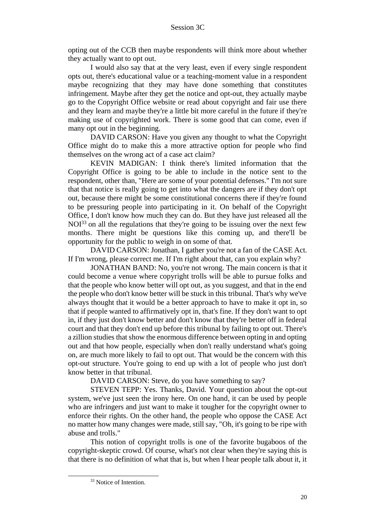opting out of the CCB then maybe respondents will think more about whether they actually want to opt out.

I would also say that at the very least, even if every single respondent opts out, there's educational value or a teaching-moment value in a respondent maybe recognizing that they may have done something that constitutes infringement. Maybe after they get the notice and opt-out, they actually maybe go to the Copyright Office website or read about copyright and fair use there and they learn and maybe they're a little bit more careful in the future if they're making use of copyrighted work. There is some good that can come, even if many opt out in the beginning.

DAVID CARSON: Have you given any thought to what the Copyright Office might do to make this a more attractive option for people who find themselves on the wrong act of a case act claim?

KEVIN MADIGAN: I think there's limited information that the Copyright Office is going to be able to include in the notice sent to the respondent, other than, "Here are some of your potential defenses." I'm not sure that that notice is really going to get into what the dangers are if they don't opt out, because there might be some constitutional concerns there if they're found to be pressuring people into participating in it. On behalf of the Copyright Office, I don't know how much they can do. But they have just released all the  $NOI<sup>33</sup>$  on all the regulations that they're going to be issuing over the next few months. There might be questions like this coming up, and there'll be opportunity for the public to weigh in on some of that.

DAVID CARSON: Jonathan, I gather you're not a fan of the CASE Act. If I'm wrong, please correct me. If I'm right about that, can you explain why?

JONATHAN BAND: No, you're not wrong. The main concern is that it could become a venue where copyright trolls will be able to pursue folks and that the people who know better will opt out, as you suggest, and that in the end the people who don't know better will be stuck in this tribunal. That's why we've always thought that it would be a better approach to have to make it opt in, so that if people wanted to affirmatively opt in, that's fine. If they don't want to opt in, if they just don't know better and don't know that they're better off in federal court and that they don't end up before this tribunal by failing to opt out. There's a zillion studies that show the enormous difference between opting in and opting out and that how people, especially when don't really understand what's going on, are much more likely to fail to opt out. That would be the concern with this opt-out structure. You're going to end up with a lot of people who just don't know better in that tribunal.

DAVID CARSON: Steve, do you have something to say?

STEVEN TEPP: Yes. Thanks, David. Your question about the opt-out system, we've just seen the irony here. On one hand, it can be used by people who are infringers and just want to make it tougher for the copyright owner to enforce their rights. On the other hand, the people who oppose the CASE Act no matter how many changes were made, still say, "Oh, it's going to be ripe with abuse and trolls."

This notion of copyright trolls is one of the favorite bugaboos of the copyright-skeptic crowd. Of course, what's not clear when they're saying this is that there is no definition of what that is, but when I hear people talk about it, it

<sup>&</sup>lt;sup>33</sup> Notice of Intention.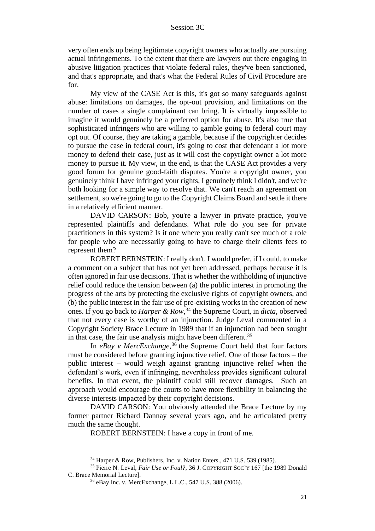very often ends up being legitimate copyright owners who actually are pursuing actual infringements. To the extent that there are lawyers out there engaging in abusive litigation practices that violate federal rules, they've been sanctioned, and that's appropriate, and that's what the Federal Rules of Civil Procedure are for.

My view of the CASE Act is this, it's got so many safeguards against abuse: limitations on damages, the opt-out provision, and limitations on the number of cases a single complainant can bring. It is virtually impossible to imagine it would genuinely be a preferred option for abuse. It's also true that sophisticated infringers who are willing to gamble going to federal court may opt out. Of course, they are taking a gamble, because if the copyrighter decides to pursue the case in federal court, it's going to cost that defendant a lot more money to defend their case, just as it will cost the copyright owner a lot more money to pursue it. My view, in the end, is that the CASE Act provides a very good forum for genuine good-faith disputes. You're a copyright owner, you genuinely think I have infringed your rights, I genuinely think I didn't, and we're both looking for a simple way to resolve that. We can't reach an agreement on settlement, so we're going to go to the Copyright Claims Board and settle it there in a relatively efficient manner.

DAVID CARSON: Bob, you're a lawyer in private practice, you've represented plaintiffs and defendants. What role do you see for private practitioners in this system? Is it one where you really can't see much of a role for people who are necessarily going to have to charge their clients fees to represent them?

ROBERT BERNSTEIN: I really don't. I would prefer, if I could, to make a comment on a subject that has not yet been addressed, perhaps because it is often ignored in fair use decisions. That is whether the withholding of injunctive relief could reduce the tension between (a) the public interest in promoting the progress of the arts by protecting the exclusive rights of copyright owners, and (b) the public interest in the fair use of pre-existing works in the creation of new ones. If you go back to *Harper & Row*, <sup>34</sup> the Supreme Court, in *dicta*, observed that not every case is worthy of an injunction. Judge Leval commented in a Copyright Society Brace Lecture in 1989 that if an injunction had been sought in that case, the fair use analysis might have been different.<sup>35</sup>

In *eBay v MercExchange*, <sup>36</sup> the Supreme Court held that four factors must be considered before granting injunctive relief. One of those factors – the public interest – would weigh against granting injunctive relief when the defendant's work, even if infringing, nevertheless provides significant cultural benefits. In that event, the plaintiff could still recover damages. Such an approach would encourage the courts to have more flexibility in balancing the diverse interests impacted by their copyright decisions.

DAVID CARSON: You obviously attended the Brace Lecture by my former partner Richard Dannay several years ago, and he articulated pretty much the same thought.

ROBERT BERNSTEIN: I have a copy in front of me.

<sup>34</sup> Harper & Row, Publishers, Inc. v. Nation Enters., 471 U.S. 539 (1985).

<sup>&</sup>lt;sup>35</sup> Pierre N. Leval, *Fair Use or Foul?*, 36 J. COPYRIGHT SOC'Y 167 [the 1989 Donald C. Brace Memorial Lecture].

<sup>36</sup> eBay Inc. v. MercExchange, L.L.C., 547 U.S. 388 (2006).